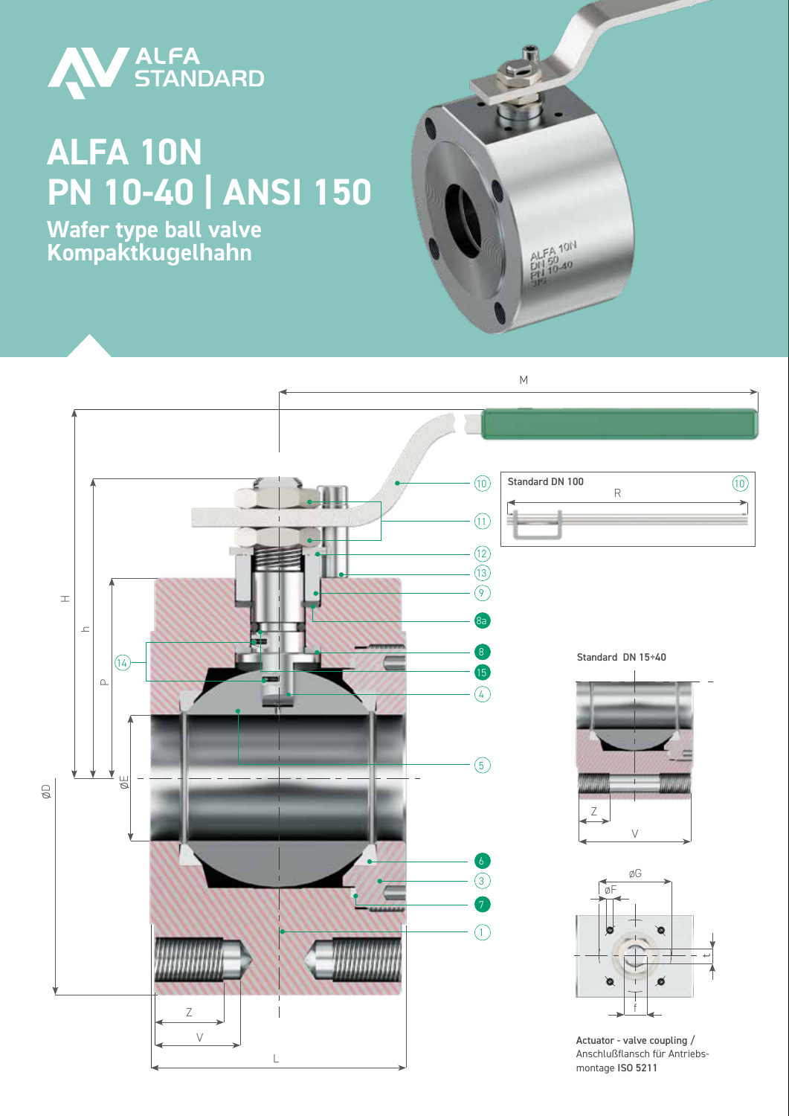

## **ALFA 10N PN 10-40 | ANSI 150**

**Wafer type ball valve Kompaktkugelhahn**